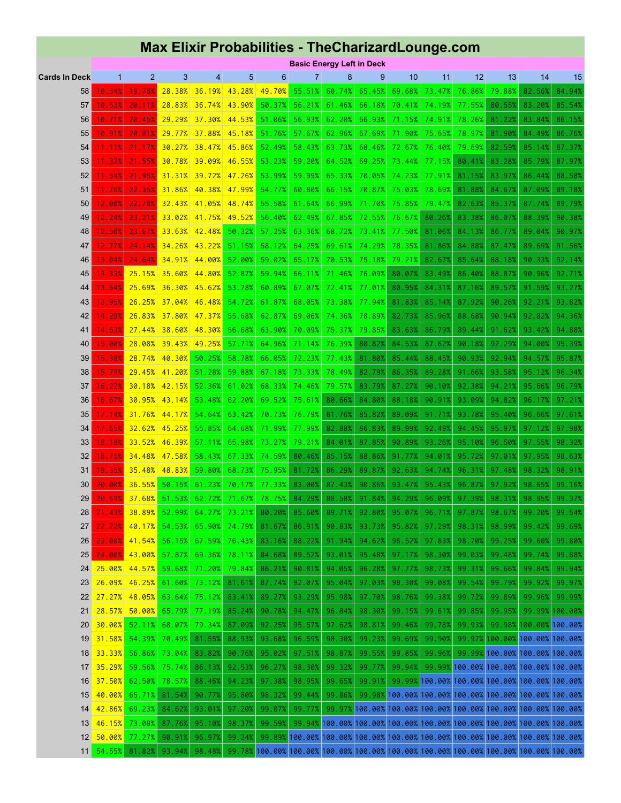## **Max Elixir Probabilities - TheCharizardLounge.com**

|                      |              | <b>Basic Energy Left in Deck</b> |                         |                             |                      |                |                             |        |        |        |        |                                                                                        |        |                                |         |
|----------------------|--------------|----------------------------------|-------------------------|-----------------------------|----------------------|----------------|-----------------------------|--------|--------|--------|--------|----------------------------------------------------------------------------------------|--------|--------------------------------|---------|
| <b>Cards In Deck</b> | $\mathbf{1}$ | $\overline{2}$                   | 3                       | $\overline{4}$              | $\overline{5}$       | $6\phantom{1}$ | $\overline{7}$              | 8      | 9      | 10     | 11     | 12                                                                                     | 13     | 14                             | 15      |
| 58                   | 10.34%       | 19.78%                           |                         | 28.38% 36.19% 43.28%        |                      | 49.70%         | 55.51%                      | 60.74% | 65.45% | 69.68% | 73.47% | 76.86%                                                                                 | 79.88% | 82.56%                         | 84.94%  |
| 57                   | 10.53%       | 20.11%                           |                         | 28.83% 36.74% 43.90%        |                      | 50.37%         | 56.21%                      | 61.46% | 66.18% | 70.41% | 74.19% | 77.55%                                                                                 | 80.55% | 83.20%                         | 85.54%  |
| 56                   | 10.71%       | 20.45%                           |                         | 29.29% 37.30% 44.53% 51.06% |                      |                | 56.93%                      | 62.20% | 66.93% | 71.15% | 74.91% | 78.26%                                                                                 | 81.22% | 83.84%                         | 86.15%  |
| 55                   | 10.91%       | 20.81%                           | 29.77%                  | 37.88%                      |                      | 45.18% 51.76%  | 57.67%                      | 62.96% | 67.69% | 71.90% | 75.65% | 78.97%                                                                                 | 81.90% | 84.49%                         | 86.76%  |
| 54                   |              |                                  |                         | $30.27\%$ 38.47% 45.86%     |                      | 52.49%         | 58.43%                      | 63.73% | 68.46% | 72.67% | 76.40% | 79.69%                                                                                 |        |                                |         |
|                      | $11.11\%$    | 21.17%                           |                         |                             |                      |                |                             |        |        |        |        |                                                                                        | 82.59% | 85.14%                         | 87.37%  |
| 53                   | 11.32%       | 21.55%                           |                         | 30.78% 39.09% 46.55%        |                      | 53.23%         | 59.20%                      | 64.52% | 69.25% | 73.44% | 77.15% | 80.41%                                                                                 | 83.28% | 85.79%                         | 87.97%  |
| 52                   | 11.54%       | 21.95%                           |                         | 31.31% 39.72%               |                      | 47.26% 53.99%  | 59.99%                      | 65.33% | 70.05% | 74.23% | 77.91% | 81.15%                                                                                 | 83.97% | 86.44%                         | 88.58%  |
| 51                   | 11.76%       | 22.35%                           |                         | 31.86% 40.38% 47.99% 54.77% |                      |                | 60.80%                      | 66.15% | 70.87% | 75.03% | 78.69% | 81.88%                                                                                 | 84.67% | 87.09%                         | 89.18%  |
| 50                   | 12.00%       | 22.78%                           |                         | $32.43\%$ 41.05%            | 48.74%               | 55.58%         | 61.64%                      | 66.99% | 71.70% | 75.85% | 79.47% | 82.63%                                                                                 | 85.37% | 87.74%                         | 89.79%  |
| 49                   | 12.24%       | 23.21%                           | 33.02%                  |                             | 41.75% 49.52% 56.40% |                | 62.49%                      | 67.85% | 72.55% | 76.67% | 80.26% | 83.38%                                                                                 | 86.07% | 88.39%                         | 90.38%  |
| 48                   | 12.50%       | 23.67%                           |                         | 33.63% 42.48%               | 50.32%               | 57.25%         | 63.36%                      | 68.72% | 73.41% | 77.50% | 81.06% | 84.13%                                                                                 | 86.77% | 89.04%                         | 90.97%  |
| 47                   | 12.77%       | 24.14%                           | 34.26%                  | 43.22%                      | 51.15%               | 58.12%         | 64.25%                      | 69.61% | 74.29% | 78.35% | 81.86% | 84.88%                                                                                 | 87.47% | 89.69%                         | 91.56%  |
| 46                   | 13.04%       | 24.64%                           |                         | $34.91\%$ 44.00%            | 52.00%               | 59.02%         | 65.17%                      | 70.53% | 75.18% | 79.21% | 82.67% | 85.64%                                                                                 | 88.18% | 90.33%                         | 92.14%  |
| 45                   | 13.33%       | 25.15%                           | 35.60%                  | 44.80%                      | 52.87%               | 59.94%         | 66.11%                      | 71.46% | 76.09% | 80.07% | 83.49% | 86.40%                                                                                 | 88.87% | 90.96%                         | 92.71%  |
| 44                   | 13.64%       | 25.69%                           |                         | $36.30\%$ 45.62%            | 53.78%               | 60.89%         | 67.07%                      | 72.41% | 77.01% | 80.95% | 84.31% | 87.16%                                                                                 | 89.57% | 91.59%                         | 93.27%  |
| 43                   | 13.95%       | 26.25%                           | 37.04%                  |                             | 46.48% 54.72%        | 61.87%         | 68.05%                      | 73.38% | 77.94% | 81.83% | 85.14% | 87.92%                                                                                 | 90.26% | 92.21%                         | 93.82%  |
| 42                   | 14.29%       | 26.83%                           | 37.80%                  | 47.37%                      | 55.68%               | 62.87%         | 69.06%                      | 74.36% | 78.89% | 82.73% | 85.96% | 88.68%                                                                                 | 90.94% | 92.82%                         | 94.36%  |
| 41                   | 14.63%       |                                  | $27.44\%$ 38.60% 48.30% |                             | 56.68%               | 63.90%         | 70.09%                      | 75.37% | 79.85% | 83.63% | 86.79% | 89.44%                                                                                 | 91.62% | 93.42%                         | 94.88%  |
| 40                   | 15.00%       | 28.08%                           |                         | 39.43% 49.25%               | 57.71%               | 64.96%         | 71.14%                      | 76.39% | 80.82% | 84.53% | 87.62% | 90.18%                                                                                 | 92.29% | 94.00%                         | 95.39%  |
| 39                   | 15.38%       | 28.74%                           | 40.30%                  | 50.25%                      | 58.78%               | 66.05%         | 72.23%                      | 77.43% | 81.80% | 85.44% | 88.45% | 90.93%                                                                                 | 92.94% | 94.57%                         | 95.87%  |
| 38                   | 15.79%       | 29.45%                           | 41.20%                  | 51.28%                      | 59.88%               | 67.18%         | 73.33%                      | 78.49% | 82.79% | 86.35% | 89.28% | 91.66%                                                                                 | 93.58% | 95.12%                         | 96.34%  |
| 37                   | 16.22%       | 30.18%                           | 42.15%                  | 52.36%                      | 61.02%               | 68.33%         | 74.46%                      | 79.57% | 83.79% | 87.27% | 90.10% | 92.38%                                                                                 | 94.21% | 95.66%                         | 96.79%  |
| 36                   | 16.67%       | 30.95%                           | 43.14%                  | 53.48%                      | 62.20%               | 69.52%         | 75.61%                      | 80.66% | 84.80% | 88.18% | 90.91% | 93.09%                                                                                 | 94.82% | 96.17%                         | 97.21%  |
|                      |              |                                  |                         |                             |                      |                |                             |        |        |        |        |                                                                                        |        |                                |         |
| 35                   | 17.14%       | 31.76%                           | 44.17%                  | 54.64%                      | 63.42%               | 70.73%         | 76.79%                      | 81.76% | 85.82% | 89.09% | 91.71% | 93.78%                                                                                 | 95.40% | 96.66%                         | 97.61%  |
| 34                   | 17.65%       | 32.62%                           | 45.25%                  | 55.85%                      | 64.68%               | 71.99%         | 77.99%                      | 82.88% | 86.83% | 89.99% | 92.49% | 94.45%                                                                                 | 95.97% | 97.12%                         | 97.98%  |
| 33                   | 18.18%       | 33.52%                           | 46.39%                  | 57.11%                      | 65.98%               | 73.27%         | 79.21%                      | 84.01% | 87.85% | 90.89% | 93.26% | 95.10%                                                                                 | 96.50% | 97.55%                         | 98.32%  |
| 32                   | 18.75%       | 34.48%                           | 47.58%                  | 58.43%                      | 67.33%               | 74.59%         | 80.46%                      | 85.15% | 88.86% | 91.77% | 94.01% | 95.72%                                                                                 | 97.01% | 97.95%                         | 98.63%  |
| 31                   | 19.35%       | 35.48%                           | 48.83%                  | 59.80%                      | 68.73%               | 75.95%         | 81.72%                      | 86.29% | 89.87% | 92.63% | 94.74% | 96.31%                                                                                 | 97.48% | 98.32%                         | 98.91%  |
| 30                   | 20.00%       | 36.55%                           | 50.15%                  | 61.23%                      | 70.17%               | 77.33%         | 83.00%                      | 87.43% | 90.86% | 93.47% | 95.43% | 96.87%                                                                                 | 97.92% | 98.65%                         | 99.16%  |
| 29                   | 20.69%       |                                  | 37.68% 51.53%           | 62.72%                      | 71.67%               | 78.75%         | 84.29%                      | 88.58% | 91.84% | 94.29% | 96.09% | 97.39%                                                                                 | 98.31% | 98.95%                         | 99.37%  |
| 28                   |              | 21.43% 38.89% 52.99%             |                         |                             |                      |                | 64.27% 73.21% 80.20% 85.60% | 89.71% | 92.80% | 95.07% | 96.71% | 97.87%                                                                                 | 98.67% | 99.20%                         | 99.54%  |
| 27 <sub>1</sub>      | 22.22%       |                                  | 40.17% 54.53%           | 65.90%                      | 74.79%               | 81.67%         | 86.91%                      | 90.83% | 93.73% | 95.82% | 97.29% | 98.31%                                                                                 | 98.99% | 99.42%                         | 99.69%  |
| 26                   | 23.08%       | 41.54%                           | 56.15%                  | 67.59%                      | 76.43%               | 83.16%         | 88.22%                      | 91.94% | 94.62% | 96.52% | 97.83% | 98.70%                                                                                 | 99.25% | 99.60%                         | 99.80%  |
| 25                   | 24.00%       | 43.00%                           | 57.87%                  | 69.36%                      | 78.11%               | 84.68%         | 89.52%                      | 93.01% | 95.48% | 97.17% | 98.30% | 99.03%                                                                                 | 99.48% | 99.74%                         | 99.88%  |
| 24 <sup>2</sup>      | 25.00%       | 44.57%                           | 59.68%                  | 71.20%                      | 79.84%               | 86.21%         | 90.81%                      | 94.05% | 96.28% | 97.77% | 98.73% | 99.31%                                                                                 | 99.66% | 99.84%                         | 99.94%  |
| 23 <sup>1</sup>      | 26.09%       | 46.25%                           | 61.60%                  | 73.12%                      | 81.61%               | 87.74%         | 92.07%                      | 95.04% | 97.03% | 98.30% | 99.08% | 99.54%                                                                                 | 99.79% | 99.92%                         | 99.97%  |
| $22 \mid$            |              | $27.27\%$ 48.05%                 | 63.64%                  | 75.12%                      | 83.41%               | 89.27%         | 93.29%                      | 95.98% | 97.70% | 98.76% | 99.38% | 99.72%                                                                                 | 99.89% | 99.96%                         | 99.99%  |
| $21 \mid$            |              | 28.57% 50.00%                    | 65.79%                  | 77.19%                      | 85.24%               | 90.78%         | 94.47%                      | 96.84% | 98.30% | 99.15% | 99.61% | 99.85%                                                                                 | 99.95% | 99.99%                         | 100.00% |
| 20 <sup>1</sup>      |              | 30.00% 52.11%                    | 68.07%                  | 79.34%                      | 87.09%               | 92.25%         | 95.57%                      | 97.62% | 98.81% | 99.46% | 99.78% | 99.93%                                                                                 |        | 99.98% 100.00% 100.00%         |         |
| 19 <sup>°</sup>      |              | 31.58% 54.39%                    | 70.49%                  | 81.55%                      | 88.93%               | 93.68%         | 96.59%                      | 98.30% | 99.23% | 99.69% | 99.90% | 99.97%                                                                                 |        | 100.00% 100.00% 100.00%        |         |
|                      | 18 33.33%    | 56.86%                           | 73.04%                  | 83.82%                      | 90.76%               | 95.02%         | 97.51%                      | 98.87% | 99.55% | 99.85% | 99.96% |                                                                                        |        | 99.99% 100.00% 100.00% 100.00% |         |
|                      |              | 17 35.29% 59.56%                 | 75.74%                  | 86.13%                      | 92.53%               | 96.27%         | 98.30%                      | 99.32% | 99.77% | 99.94% |        | 99.99% 100.00% 100.00% 100.00% 100.00%                                                 |        |                                |         |
| 16                   | 37.50%       | 62.50%                           | 78.57%                  | 88.46%                      | 94.23%               | 97.38%         | 98.95%                      | 99.65% | 99.91% | 99.99% |        | 100.00% 100.00% 100.00% 100.00% 100.00%                                                |        |                                |         |
|                      |              |                                  |                         |                             |                      |                |                             |        |        |        |        |                                                                                        |        |                                |         |
|                      | 15 40.00%    | 65.71%                           | 81.54%                  | 90.77%                      | 95.80%               | 98.32%         | 99.44%                      | 99.86% |        |        |        | 99.98% 100.00% 100.00% 100.00% 100.00% 100.00% 100.00%                                 |        |                                |         |
|                      | 14 42.86%    | 69.23%                           | 84.62%                  | 93.01%                      | 97.20%               | 99.07%         | 99.77%                      |        |        |        |        | 99.97% 100.00% 100.00% 100.00% 100.00% 100.00% 100.00% 100.00%                         |        |                                |         |
|                      | 13 46.15%    | 73.08%                           | 87.76%                  | 95.10%                      | 98.37%               | 99.59%         |                             |        |        |        |        | 99.94% 100.00% 100.00% 100.00% 100.00% 100.00% 100.00% 100.00% 100.00%                 |        |                                |         |
|                      | 12 50.00%    | 77.27%                           | 90.91%                  | 96.97%                      | 99.24%               |                |                             |        |        |        |        | 99.89% 100.00% 100.00% 100.00% 100.00% 100.00% 100.00% 100.00% 100.00% 100.00%         |        |                                |         |
|                      | 11 54.55%    | 81.82%                           | 93.94%                  | 98.48%                      |                      |                |                             |        |        |        |        | 99.78% 100.00% 100.00% 100.00% 100.00% 100.00% 100.00% 100.00% 100.00% 100.00% 100.00% |        |                                |         |